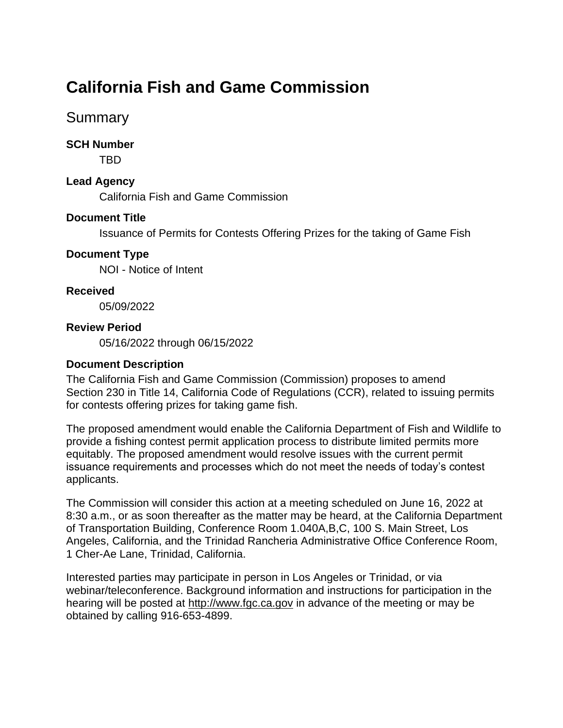# **California Fish and Game Commission**

# **Summary**

#### **SCH Number**

TBD

#### **Lead Agency**

California Fish and Game Commission

## **Document Title**

Issuance of Permits for Contests Offering Prizes for the taking of Game Fish

#### **Document Type**

NOI - Notice of Intent

#### **Received**

05/09/2022

#### **Review Period**

05/16/2022 through 06/15/2022

#### **Document Description**

The California Fish and Game Commission (Commission) proposes to amend Section 230 in Title 14, California Code of Regulations (CCR), related to issuing permits for contests offering prizes for taking game fish.

The proposed amendment would enable the California Department of Fish and Wildlife to provide a fishing contest permit application process to distribute limited permits more equitably. The proposed amendment would resolve issues with the current permit issuance requirements and processes which do not meet the needs of today's contest applicants.

The Commission will consider this action at a meeting scheduled on June 16, 2022 at 8:30 a.m., or as soon thereafter as the matter may be heard, at the California Department of Transportation Building, Conference Room 1.040A,B,C, 100 S. Main Street, Los Angeles, California, and the Trinidad Rancheria Administrative Office Conference Room, 1 Cher-Ae Lane, Trinidad, California.

Interested parties may participate in person in Los Angeles or Trinidad, or via webinar/teleconference. Background information and instructions for participation in the hearing will be posted at [http://www.fgc.ca.gov](http://www.fgc.ca.gov/) in advance of the meeting or may be obtained by calling 916-653-4899.